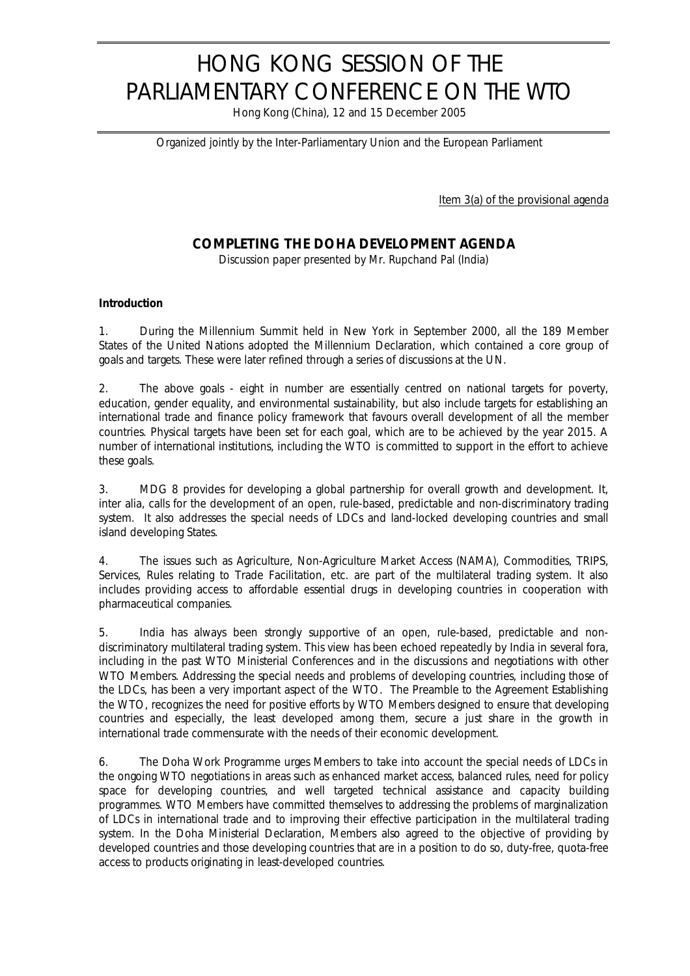# HONG KONG SESSION OF THE PARLIAMENTARY CONFERENCE ON THE WTO

Hong Kong (China), 12 and 15 December 2005

*Organized jointly by the Inter-Parliamentary Union and the European Parliament*

Item 3(a) of the provisional agenda

## **COMPLETING THE DOHA DEVELOPMENT AGENDA**

*Discussion paper presented by Mr. Rupchand Pal (India)*

### **Introduction**

1. During the Millennium Summit held in New York in September 2000, all the 189 Member States of the United Nations adopted the Millennium Declaration, which contained a core group of goals and targets. These were later refined through a series of discussions at the UN.

2. The above goals - eight in number are essentially centred on national targets for poverty, education, gender equality, and environmental sustainability, but also include targets for establishing an international trade and finance policy framework that favours overall development of all the member countries. Physical targets have been set for each goal, which are to be achieved by the year 2015. A number of international institutions, including the WTO is committed to support in the effort to achieve these goals.

3. MDG 8 provides for developing a global partnership for overall growth and development. It, inter alia, calls for the development of an open, rule-based, predictable and non-discriminatory trading system. It also addresses the special needs of LDCs and land-locked developing countries and small island developing States.

4. The issues such as Agriculture, Non-Agriculture Market Access (NAMA), Commodities, TRIPS, Services, Rules relating to Trade Facilitation, etc. are part of the multilateral trading system. It also includes providing access to affordable essential drugs in developing countries in cooperation with pharmaceutical companies.

5. India has always been strongly supportive of an open, rule-based, predictable and nondiscriminatory multilateral trading system. This view has been echoed repeatedly by India in several fora, including in the past WTO Ministerial Conferences and in the discussions and negotiations with other WTO Members. Addressing the special needs and problems of developing countries, including those of the LDCs, has been a very important aspect of the WTO. The Preamble to the Agreement Establishing the WTO, recognizes the need for positive efforts by WTO Members designed to ensure that developing countries and especially, the least developed among them, secure a just share in the growth in international trade commensurate with the needs of their economic development.

6. The Doha Work Programme urges Members to take into account the special needs of LDCs in the ongoing WTO negotiations in areas such as enhanced market access, balanced rules, need for policy space for developing countries, and well targeted technical assistance and capacity building programmes. WTO Members have committed themselves to addressing the problems of marginalization of LDCs in international trade and to improving their effective participation in the multilateral trading system. In the Doha Ministerial Declaration, Members also agreed to the objective of providing by developed countries and those developing countries that are in a position to do so, duty-free, quota-free access to products originating in least-developed countries.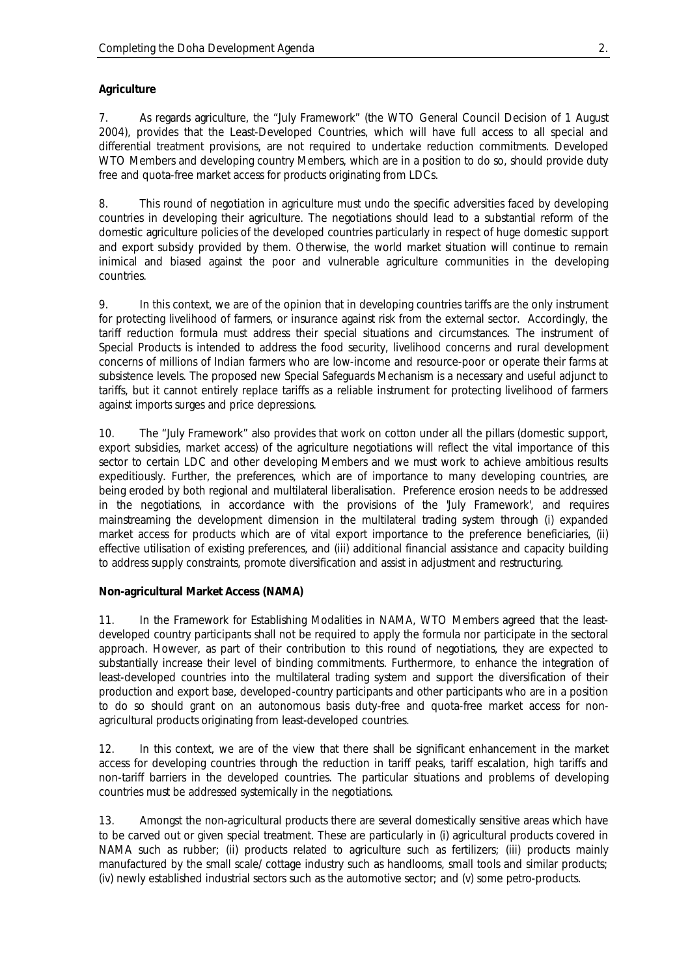#### **Agriculture**

7. As regards agriculture, the "July Framework" (the WTO General Council Decision of 1 August 2004), provides that the Least-Developed Countries, which will have full access to all special and differential treatment provisions, are not required to undertake reduction commitments. Developed WTO Members and developing country Members, which are in a position to do so, should provide duty free and quota-free market access for products originating from LDCs.

8. This round of negotiation in agriculture must undo the specific adversities faced by developing countries in developing their agriculture. The negotiations should lead to a substantial reform of the domestic agriculture policies of the developed countries particularly in respect of huge domestic support and export subsidy provided by them. Otherwise, the world market situation will continue to remain inimical and biased against the poor and vulnerable agriculture communities in the developing countries.

9. In this context, we are of the opinion that in developing countries tariffs are the only instrument for protecting livelihood of farmers, or insurance against risk from the external sector. Accordingly, the tariff reduction formula must address their special situations and circumstances. The instrument of Special Products is intended to address the food security, livelihood concerns and rural development concerns of millions of Indian farmers who are low-income and resource-poor or operate their farms at subsistence levels. The proposed new Special Safeguards Mechanism is a necessary and useful adjunct to tariffs, but it cannot entirely replace tariffs as a reliable instrument for protecting livelihood of farmers against imports surges and price depressions.

10. The "July Framework" also provides that work on cotton under all the pillars (domestic support, export subsidies, market access) of the agriculture negotiations will reflect the vital importance of this sector to certain LDC and other developing Members and we must work to achieve ambitious results expeditiously. Further, the preferences, which are of importance to many developing countries, are being eroded by both regional and multilateral liberalisation. Preference erosion needs to be addressed in the negotiations, in accordance with the provisions of the 'July Framework', and requires mainstreaming the development dimension in the multilateral trading system through (i) expanded market access for products which are of vital export importance to the preference beneficiaries, (ii) effective utilisation of existing preferences, and (iii) additional financial assistance and capacity building to address supply constraints, promote diversification and assist in adjustment and restructuring.

#### **Non-agricultural Market Access (NAMA)**

11. In the Framework for Establishing Modalities in NAMA, WTO Members agreed that the leastdeveloped country participants shall not be required to apply the formula nor participate in the sectoral approach. However, as part of their contribution to this round of negotiations, they are expected to substantially increase their level of binding commitments. Furthermore, to enhance the integration of least-developed countries into the multilateral trading system and support the diversification of their production and export base, developed-country participants and other participants who are in a position to do so should grant on an autonomous basis duty-free and quota-free market access for nonagricultural products originating from least-developed countries.

12. In this context, we are of the view that there shall be significant enhancement in the market access for developing countries through the reduction in tariff peaks, tariff escalation, high tariffs and non-tariff barriers in the developed countries. The particular situations and problems of developing countries must be addressed systemically in the negotiations.

13. Amongst the non-agricultural products there are several domestically sensitive areas which have to be carved out or given special treatment. These are particularly in (i) agricultural products covered in NAMA such as rubber; (ii) products related to agriculture such as fertilizers; (iii) products mainly manufactured by the small scale/ cottage industry such as handlooms, small tools and similar products; (iv) newly established industrial sectors such as the automotive sector; and (v) some petro-products.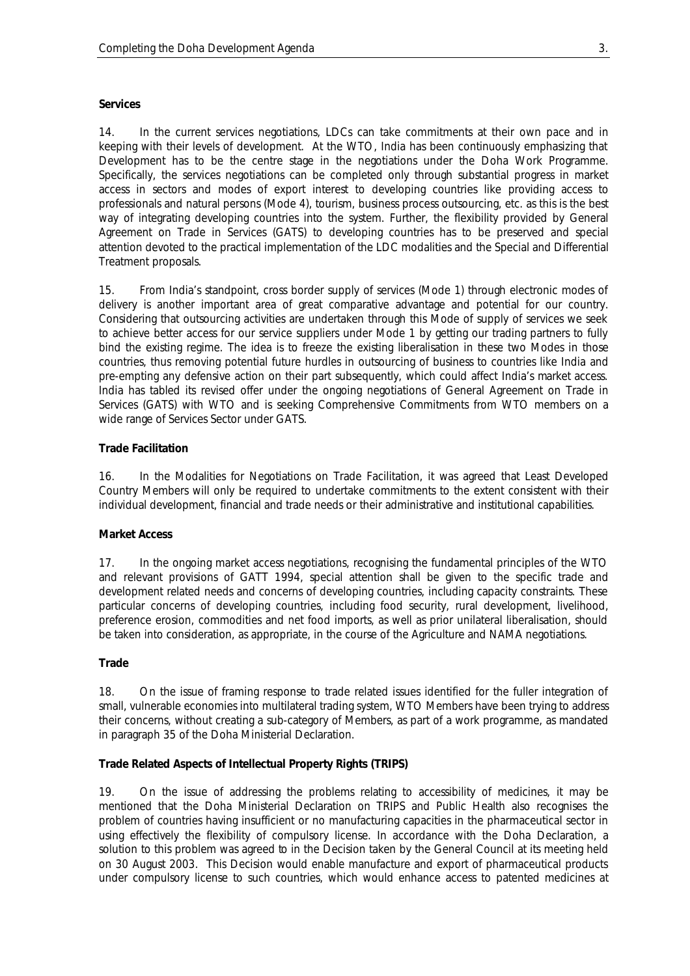#### **Services**

14. In the current services negotiations, LDCs can take commitments at their own pace and in keeping with their levels of development. At the WTO, India has been continuously emphasizing that Development has to be the centre stage in the negotiations under the Doha Work Programme. Specifically, the services negotiations can be completed only through substantial progress in market access in sectors and modes of export interest to developing countries like providing access to professionals and natural persons (Mode 4), tourism, business process outsourcing, etc. as this is the best way of integrating developing countries into the system. Further, the flexibility provided by General Agreement on Trade in Services (GATS) to developing countries has to be preserved and special attention devoted to the practical implementation of the LDC modalities and the Special and Differential Treatment proposals.

15. From India's standpoint, cross border supply of services (Mode 1) through electronic modes of delivery is another important area of great comparative advantage and potential for our country. Considering that outsourcing activities are undertaken through this Mode of supply of services we seek to achieve better access for our service suppliers under Mode 1 by getting our trading partners to fully bind the existing regime. The idea is to freeze the existing liberalisation in these two Modes in those countries, thus removing potential future hurdles in outsourcing of business to countries like India and pre-empting any defensive action on their part subsequently, which could affect India's market access. India has tabled its revised offer under the ongoing negotiations of General Agreement on Trade in Services (GATS) with WTO and is seeking Comprehensive Commitments from WTO members on a wide range of Services Sector under GATS.

#### **Trade Facilitation**

16. In the Modalities for Negotiations on Trade Facilitation, it was agreed that Least Developed Country Members will only be required to undertake commitments to the extent consistent with their individual development, financial and trade needs or their administrative and institutional capabilities.

#### **Market Access**

17. In the ongoing market access negotiations, recognising the fundamental principles of the WTO and relevant provisions of GATT 1994, special attention shall be given to the specific trade and development related needs and concerns of developing countries, including capacity constraints. These particular concerns of developing countries, including food security, rural development, livelihood, preference erosion, commodities and net food imports, as well as prior unilateral liberalisation, should be taken into consideration, as appropriate, in the course of the Agriculture and NAMA negotiations.

#### **Trade**

18. On the issue of framing response to trade related issues identified for the fuller integration of small, vulnerable economies into multilateral trading system, WTO Members have been trying to address their concerns, without creating a sub-category of Members, as part of a work programme, as mandated in paragraph 35 of the Doha Ministerial Declaration.

#### **Trade Related Aspects of Intellectual Property Rights (TRIPS)**

19. On the issue of addressing the problems relating to accessibility of medicines, it may be mentioned that the Doha Ministerial Declaration on TRIPS and Public Health also recognises the problem of countries having insufficient or no manufacturing capacities in the pharmaceutical sector in using effectively the flexibility of compulsory license. In accordance with the Doha Declaration, a solution to this problem was agreed to in the Decision taken by the General Council at its meeting held on 30 August 2003. This Decision would enable manufacture and export of pharmaceutical products under compulsory license to such countries, which would enhance access to patented medicines at